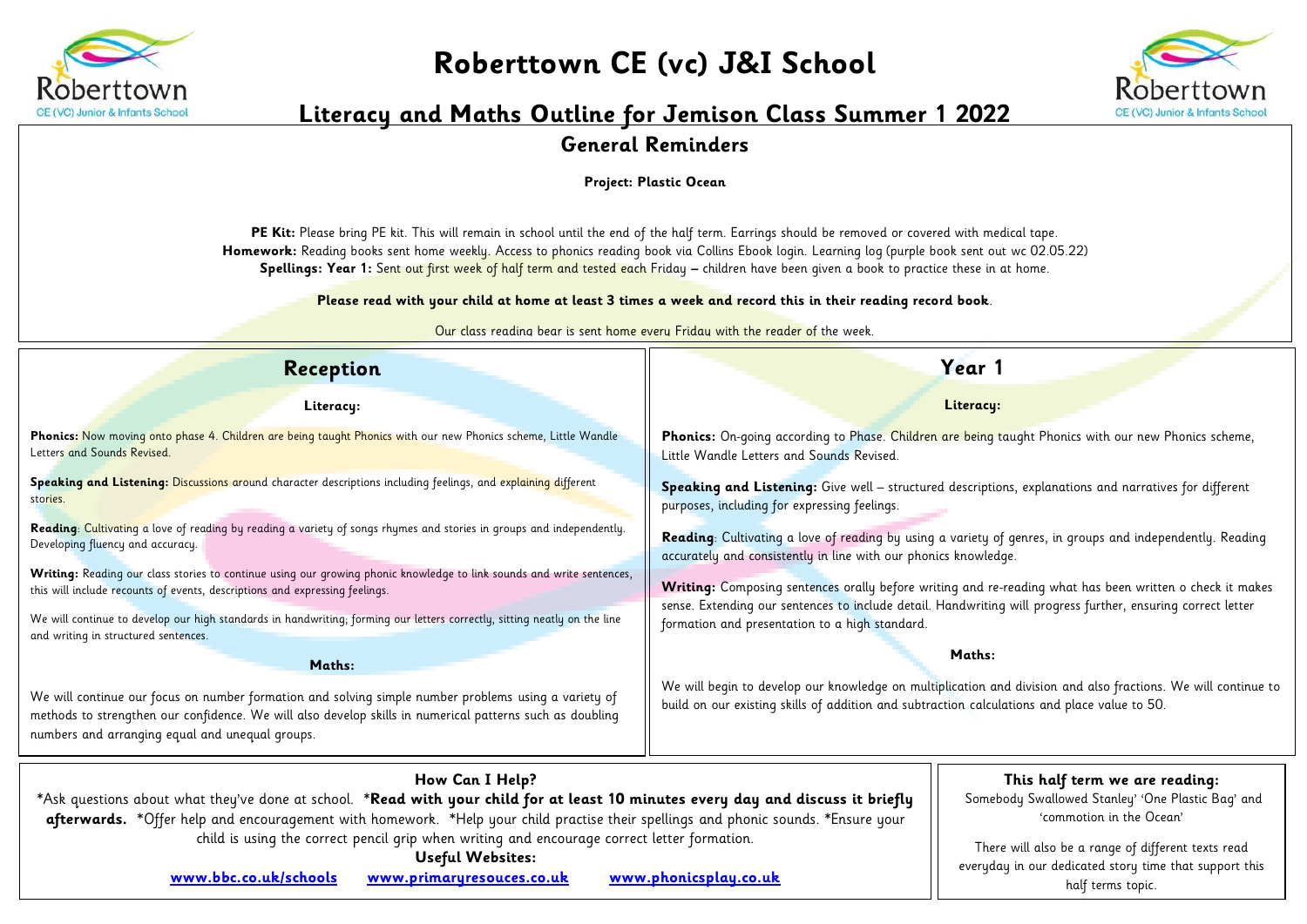

## **Roberttown CE (vc) J&I School**



## **Literacy and Maths Outline for Jemison Class Summer 1 2022**

## **General Reminders**

**Project: Plastic Ocean**

PE Kit: Please bring PE kit. This will remain in school until the end of the half term. Earrings should be removed or covered with medical tape. **Homework:** Reading books sent home weekly. Access to phonics reading book via Collins Ebook login. Learning log (purple book sent out wc 02.05.22) **Spellings: Year 1:** Sent out first week of half term and tested each Friday **–** children have been given a book to practice these in at home.

**Please read with your child at home at least 3 times a week and record this in their reading record book**.

Our class reading bear is sent home every Friday with the reader of the week.

| Reception                                                                                                                                                                                                                                                                                                                                                                                | Year 1                                                                                                                                                                                                                                                                     |  |  |  |  |
|------------------------------------------------------------------------------------------------------------------------------------------------------------------------------------------------------------------------------------------------------------------------------------------------------------------------------------------------------------------------------------------|----------------------------------------------------------------------------------------------------------------------------------------------------------------------------------------------------------------------------------------------------------------------------|--|--|--|--|
| Literacy:                                                                                                                                                                                                                                                                                                                                                                                | Literacy:                                                                                                                                                                                                                                                                  |  |  |  |  |
| Phonics: Now moving onto phase 4. Children are being taught Phonics with our new Phonics scheme, Little Wandle<br>Letters and Sounds Revised.                                                                                                                                                                                                                                            | Phonics: On-going according to Phase. Children are being taught Phonics with our new Phonics scheme,<br>Little Wandle Letters and Sounds Revised.                                                                                                                          |  |  |  |  |
| Speaking and Listening: Discussions around character descriptions including feelings, and explaining different<br>stories.                                                                                                                                                                                                                                                               | Speaking and Listening: Give well - structured descriptions, explanations and narratives for different<br>purposes, including for expressing feelings.                                                                                                                     |  |  |  |  |
| Reading: Cultivating a love of reading by reading a variety of songs rhymes and stories in groups and independently.<br>Developing fluency and accuracy.                                                                                                                                                                                                                                 | Reading: Cultivating a love of reading by using a variety of genres, in groups and independently. Reading<br>accurately and consistently in line with our phonics knowledge.                                                                                               |  |  |  |  |
| Writing: Reading our class stories to continue using our growing phonic knowledge to link sounds and write sentences,<br>this will include recounts of events, descriptions and expressing feelings.                                                                                                                                                                                     | Writing: Composing sentences orally before writing and re-reading what has been written o check it makes<br>sense. Extending our sentences to include detail. Handwriting will progress further, ensuring correct letter<br>formation and presentation to a high standard. |  |  |  |  |
| We will continue to develop our high standards in handwriting; forming our letters correctly, sitting neatly on the line<br>and writing in structured sentences.                                                                                                                                                                                                                         |                                                                                                                                                                                                                                                                            |  |  |  |  |
| Maths:                                                                                                                                                                                                                                                                                                                                                                                   | Maths:                                                                                                                                                                                                                                                                     |  |  |  |  |
| We will continue our focus on number formation and solving simple number problems using a variety of<br>methods to strengthen our confidence. We will also develop skills in numerical patterns such as doubling<br>numbers and arranging equal and unequal groups.                                                                                                                      | We will begin to develop our knowledge on multiplication and division and also fractions. We will continue to<br>build on our existing skills of addition and subtraction calculations and place value to 50.                                                              |  |  |  |  |
| How Can I Help?<br>*Ask questions about what they've done at school. *Read with your child for at least 10 minutes every day and discuss it briefly<br>afterwards. *Offer help and encouragement with homework. *Help your child practise their spellings and phonic sounds. *Ensure your<br>child is using the correct pencil grip when writing and encourage correct letter formation. | This half term we are reading:<br>Somebody Swallowed Stanley' 'One Plastic Bag' and<br>'commotion in the Ocean'                                                                                                                                                            |  |  |  |  |
| <b>Useful Websites:</b><br>www.bbc.co.uk/schools<br>www.primaryresouces.co.uk                                                                                                                                                                                                                                                                                                            | There will also be a range of different texts read<br>everyday in our dedicated story time that support this<br>www.phonicsplay.co.uk<br>half terms topic.                                                                                                                 |  |  |  |  |